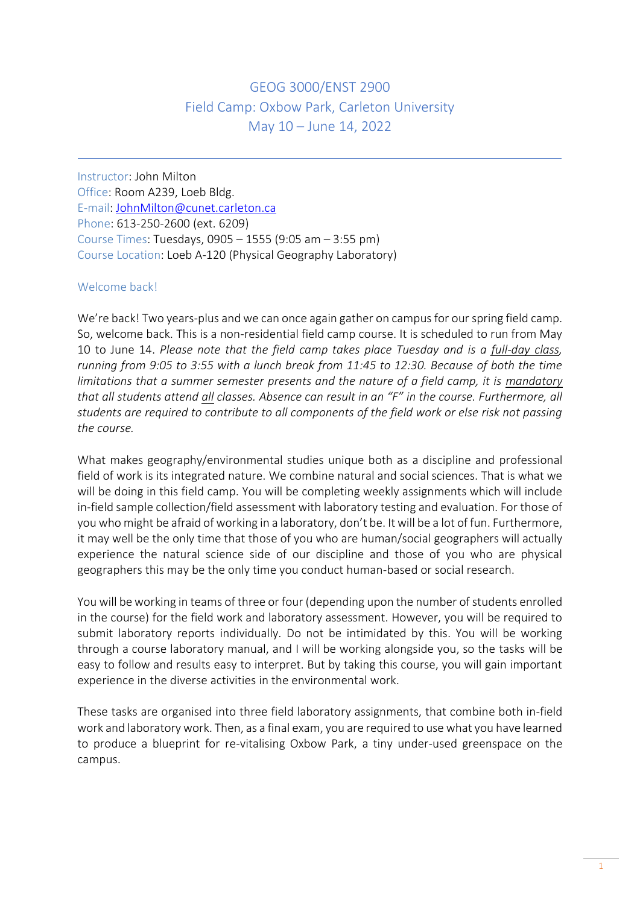# GEOG 3000/ENST 2900 Field Camp: Oxbow Park, Carleton University May 10 – June 14, 2022

Instructor: John Milton Office: Room A239, Loeb Bldg. E-mail: [JohnMilton@cunet.carleton.ca](mailto:JohnMilton@cunet.carleton.ca) Phone: 613-250-2600 (ext. 6209) Course Times: Tuesdays, 0905 – 1555 (9:05 am – 3:55 pm) Course Location: Loeb A-120 (Physical Geography Laboratory)

# Welcome back!

j

We're back! Two years-plus and we can once again gather on campus for our spring field camp. So, welcome back. This is a non-residential field camp course. It is scheduled to run from May 10 to June 14. *Please note that the field camp takes place Tuesday and is a full-day class, running from 9:05 to 3:55 with a lunch break from 11:45 to 12:30. Because of both the time limitations that a summer semester presents and the nature of a field camp, it is mandatory that all students attend all classes. Absence can result in an "F" in the course. Furthermore, all students are required to contribute to all components of the field work or else risk not passing the course.*

What makes geography/environmental studies unique both as a discipline and professional field of work is its integrated nature. We combine natural and social sciences. That is what we will be doing in this field camp. You will be completing weekly assignments which will include in-field sample collection/field assessment with laboratory testing and evaluation. For those of you who might be afraid of working in a laboratory, don't be. It will be a lot of fun. Furthermore, it may well be the only time that those of you who are human/social geographers will actually experience the natural science side of our discipline and those of you who are physical geographers this may be the only time you conduct human-based or social research.

You will be working in teams of three or four (depending upon the number of students enrolled in the course) for the field work and laboratory assessment. However, you will be required to submit laboratory reports individually. Do not be intimidated by this. You will be working through a course laboratory manual, and I will be working alongside you, so the tasks will be easy to follow and results easy to interpret. But by taking this course, you will gain important experience in the diverse activities in the environmental work.

These tasks are organised into three field laboratory assignments, that combine both in-field work and laboratory work. Then, as a final exam, you are required to use what you have learned to produce a blueprint for re-vitalising Oxbow Park, a tiny under-used greenspace on the campus.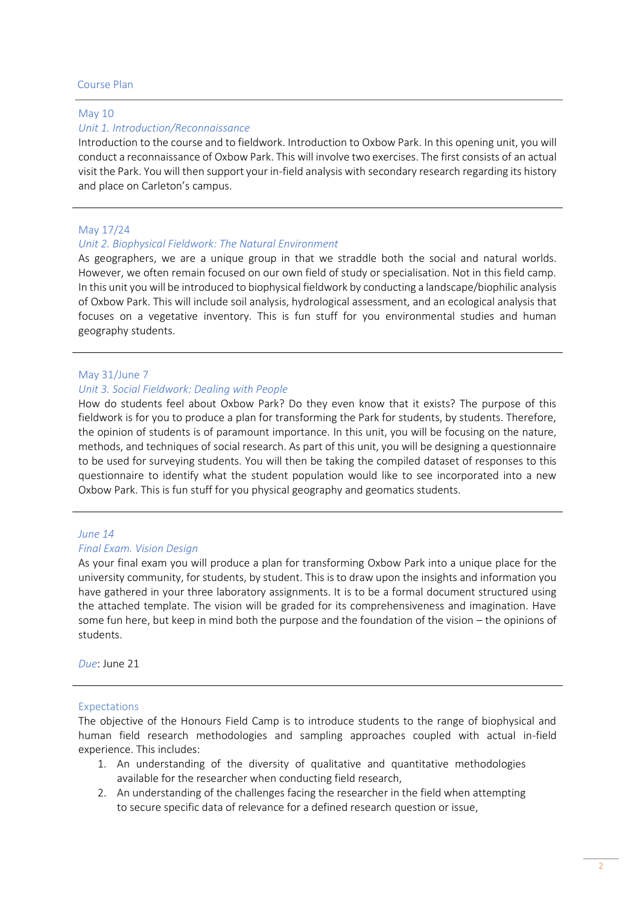#### Course Plan

#### May 10

#### *Unit 1. Introduction/Reconnaissance*

Introduction to the course and to fieldwork. Introduction to Oxbow Park. In this opening unit, you will conduct a reconnaissance of Oxbow Park. This will involve two exercises. The first consists of an actual visit the Park. You will then support your in-field analysis with secondary research regarding its history and place on Carleton's campus.

### May 17/24

### *Unit 2. Biophysical Fieldwork: The Natural Environment*

As geographers, we are a unique group in that we straddle both the social and natural worlds. However, we often remain focused on our own field of study or specialisation. Not in this field camp. In this unit you will be introduced to biophysical fieldwork by conducting a landscape/biophilic analysis of Oxbow Park. This will include soil analysis, hydrological assessment, and an ecological analysis that focuses on a vegetative inventory. This is fun stuff for you environmental studies and human geography students.

### May 31/June 7

#### *Unit 3. Social Fieldwork: Dealing with People*

How do students feel about Oxbow Park? Do they even know that it exists? The purpose of this fieldwork is for you to produce a plan for transforming the Park for students, by students. Therefore, the opinion of students is of paramount importance. In this unit, you will be focusing on the nature, methods, and techniques of social research. As part of this unit, you will be designing a questionnaire to be used for surveying students. You will then be taking the compiled dataset of responses to this questionnaire to identify what the student population would like to see incorporated into a new Oxbow Park. This is fun stuff for you physical geography and geomatics students.

### *June 14*

#### *Final Exam. Vision Design*

As your final exam you will produce a plan for transforming Oxbow Park into a unique place for the university community, for students, by student. This is to draw upon the insights and information you have gathered in your three laboratory assignments. It is to be a formal document structured using the attached template. The vision will be graded for its comprehensiveness and imagination. Have some fun here, but keep in mind both the purpose and the foundation of the vision – the opinions of students.

*Due*: June 21

#### Expectations

The objective of the Honours Field Camp is to introduce students to the range of biophysical and human field research methodologies and sampling approaches coupled with actual in-field experience. This includes:

- 1. An understanding of the diversity of qualitative and quantitative methodologies available for the researcher when conducting field research,
- 2. An understanding of the challenges facing the researcher in the field when attempting to secure specific data of relevance for a defined research question or issue,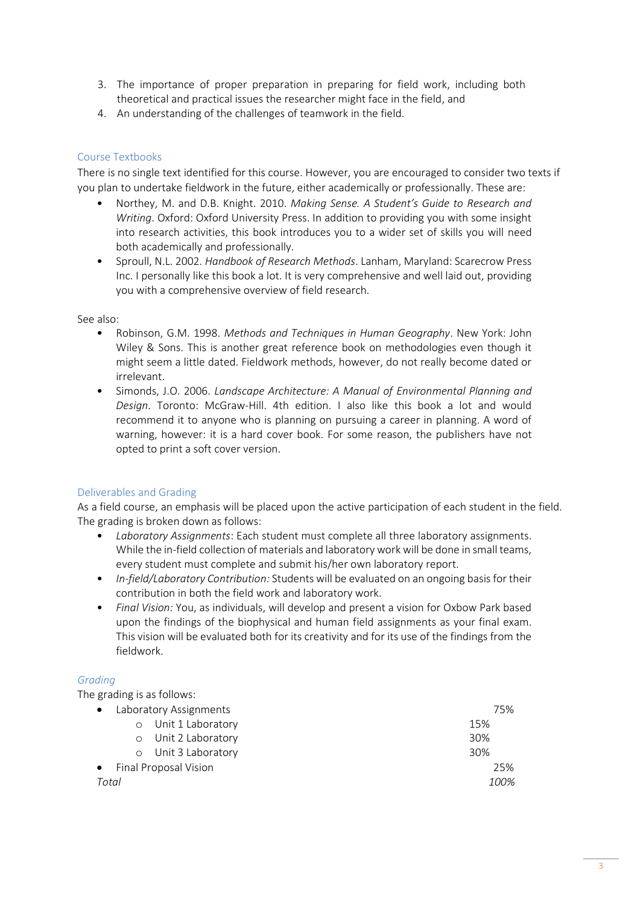- 3. The importance of proper preparation in preparing for field work, including both theoretical and practical issues the researcher might face in the field, and
- 4. An understanding of the challenges of teamwork in the field.

# Course Textbooks

There is no single text identified for this course. However, you are encouraged to consider two texts if you plan to undertake fieldwork in the future, either academically or professionally. These are:

- Northey, M. and D.B. Knight. 2010. *Making Sense. A Student's Guide to Research and Writing*. Oxford: Oxford University Press. In addition to providing you with some insight into research activities, this book introduces you to a wider set of skills you will need both academically and professionally.
- Sproull, N.L. 2002. *Handbook of Research Methods*. Lanham, Maryland: Scarecrow Press Inc. I personally like this book a lot. It is very comprehensive and well laid out, providing you with a comprehensive overview of field research.

### See also:

- Robinson, G.M. 1998. *Methods and Techniques in Human Geography*. New York: John Wiley & Sons. This is another great reference book on methodologies even though it might seem a little dated. Fieldwork methods, however, do not really become dated or irrelevant.
- Simonds, J.O. 2006. *Landscape Architecture: A Manual of Environmental Planning and Design*. Toronto: McGraw-Hill. 4th edition. I also like this book a lot and would recommend it to anyone who is planning on pursuing a career in planning. A word of warning, however: it is a hard cover book. For some reason, the publishers have not opted to print a soft cover version.

# Deliverables and Grading

As a field course, an emphasis will be placed upon the active participation of each student in the field. The grading is broken down as follows:

- *Laboratory Assignments*: Each student must complete all three laboratory assignments. While the in-field collection of materials and laboratory work will be done in small teams, every student must complete and submit his/her own laboratory report.
- *In-field/Laboratory Contribution:* Students will be evaluated on an ongoing basis for their contribution in both the field work and laboratory work.
- *Final Vision:* You, as individuals, will develop and present a vision for Oxbow Park based upon the findings of the biophysical and human field assignments as your final exam. This vision will be evaluated both for its creativity and for its use of the findings from the fieldwork.

# *Grading*

The grading is as follows:

| 75%  |
|------|
| 15%  |
| 30%  |
| 30%  |
| 25%  |
| 100% |
|      |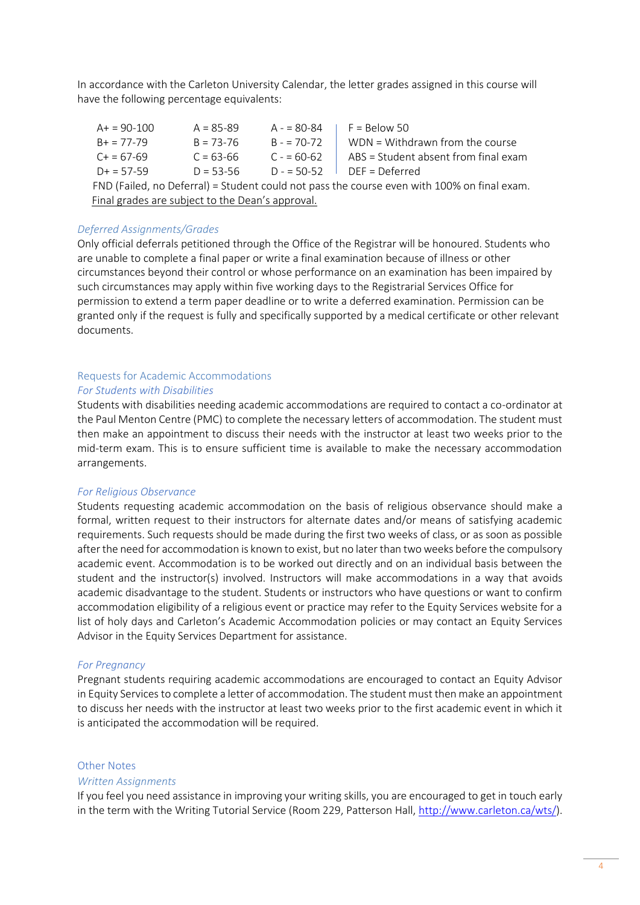In accordance with the Carleton University Calendar, the letter grades assigned in this course will have the following percentage equivalents:

 $A + 90-100$   $A = 85-89$   $A - 80-84$   $F = 80$ elow 50  $B + = 77-79$  B = 73-76 B -  $= 70-72$  WDN = Withdrawn from the course  $C_+ = 67-69$   $C_-= 63-66$   $C_-= 60-62$  ABS = Student absent from final exam  $D+ = 57-59$   $D = 53-56$   $D = 50-52$  DEF = Deferred FND (Failed, no Deferral) = Student could not pass the course even with 100% on final exam. Final grades are subject to the Dean's approval.

### *Deferred Assignments/Grades*

Only official deferrals petitioned through the Office of the Registrar will be honoured. Students who are unable to complete a final paper or write a final examination because of illness or other circumstances beyond their control or whose performance on an examination has been impaired by such circumstances may apply within five working days to the Registrarial Services Office for permission to extend a term paper deadline or to write a deferred examination. Permission can be granted only if the request is fully and specifically supported by a medical certificate or other relevant documents.

#### Requests for Academic Accommodations *For Students with Disabilities*

Students with disabilities needing academic accommodations are required to contact a co-ordinator at the Paul Menton Centre (PMC) to complete the necessary letters of accommodation. The student must then make an appointment to discuss their needs with the instructor at least two weeks prior to the mid-term exam. This is to ensure sufficient time is available to make the necessary accommodation arrangements.

### *For Religious Observance*

Students requesting academic accommodation on the basis of religious observance should make a formal, written request to their instructors for alternate dates and/or means of satisfying academic requirements. Such requests should be made during the first two weeks of class, or as soon as possible after the need for accommodation is known to exist, but no later than two weeks before the compulsory academic event. Accommodation is to be worked out directly and on an individual basis between the student and the instructor(s) involved. Instructors will make accommodations in a way that avoids academic disadvantage to the student. Students or instructors who have questions or want to confirm accommodation eligibility of a religious event or practice may refer to the Equity Services website for a list of holy days and Carleton's Academic Accommodation policies or may contact an Equity Services Advisor in the Equity Services Department for assistance.

### *For Pregnancy*

Pregnant students requiring academic accommodations are encouraged to contact an Equity Advisor in Equity Services to complete a letter of accommodation. The student must then make an appointment to discuss her needs with the instructor at least two weeks prior to the first academic event in which it is anticipated the accommodation will be required.

### Other Notes

### *Written Assignments*

If you feel you need assistance in improving your writing skills, you are encouraged to get in touch early in the term with the Writing Tutorial Service (Room 229, Patterson Hall[, http://www.carleton.ca/wts/\)](http://www.carleton.ca/wts/).